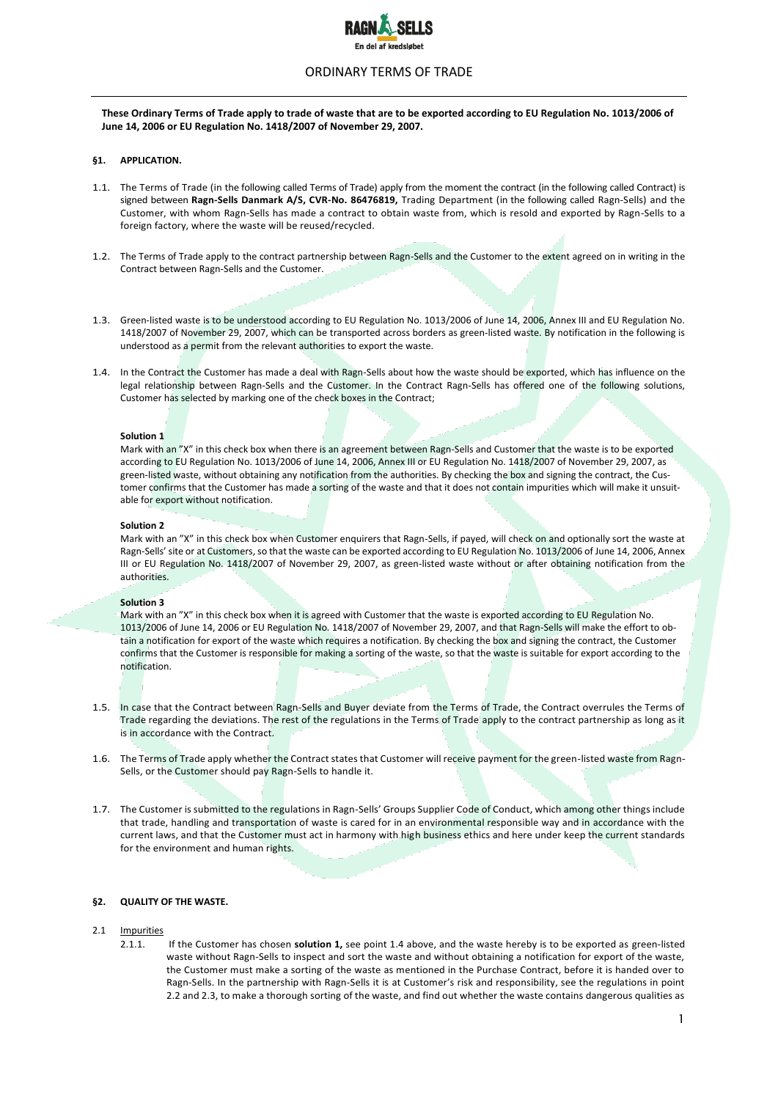

# ORDINARY TERMS OF TRADE

**These Ordinary Terms of Trade apply to trade of waste that are to be exported according to EU Regulation No. 1013/2006 of June 14, 2006 or EU Regulation No. 1418/2007 of November 29, 2007.**

### **§1. APPLICATION.**

- 1.1. The Terms of Trade (in the following called Terms of Trade) apply from the moment the contract (in the following called Contract) is signed between **Ragn-Sells Danmark A/S, CVR-No. 86476819,** Trading Department (in the following called Ragn-Sells) and the Customer, with whom Ragn-Sells has made a contract to obtain waste from, which is resold and exported by Ragn-Sells to a foreign factory, where the waste will be reused/recycled.
- 1.2. The Terms of Trade apply to the contract partnership between Ragn-Sells and the Customer to the extent agreed on in writing in the Contract between Ragn-Sells and the Customer.
- 1.3. Green-listed waste is to be understood according to EU Regulation No. 1013/2006 of June 14, 2006, Annex III and EU Regulation No. 1418/2007 of November 29, 2007, which can be transported across borders as green-listed waste. By notification in the following is understood as a permit from the relevant authorities to export the waste.
- 1.4. In the Contract the Customer has made a deal with Ragn-Sells about how the waste should be exported, which has influence on the legal relationship between Ragn-Sells and the Customer. In the Contract Ragn-Sells has offered one of the following solutions, Customer has selected by marking one of the check boxes in the Contract;

#### **Solution 1**

Mark with an "X" in this check box when there is an agreement between Ragn-Sells and Customer that the waste is to be exported according to EU Regulation No. 1013/2006 of June 14, 2006, Annex III or EU Regulation No. 1418/2007 of November 29, 2007, as green-listed waste, without obtaining any notification from the authorities. By checking the box and signing the contract, the Customer confirms that the Customer has made a sorting of the waste and that it does not contain impurities which will make it unsuitable for export without notification.

#### **Solution 2**

Mark with an "X" in this check box when Customer enquirers that Ragn-Sells, if payed, will check on and optionally sort the waste at Ragn-Sells' site or at Customers, so that the waste can be exported according to EU Regulation No. 1013/2006 of June 14, 2006, Annex III or EU Regulation No. 1418/2007 of November 29, 2007, as green-listed waste without or after obtaining notification from the authorities.

#### **Solution 3**

Mark with an "X" in this check box when it is agreed with Customer that the waste is exported according to EU Regulation No. 1013/2006 of June 14, 2006 or EU Regulation No. 1418/2007 of November 29, 2007, and that Ragn-Sells will make the effort to obtain a notification for export of the waste which requires a notification. By checking the box and signing the contract, the Customer confirms that the Customer is responsible for making a sorting of the waste, so that the waste is suitable for export according to the notification.

- 1.5. In case that the Contract between Ragn-Sells and Buyer deviate from the Terms of Trade, the Contract overrules the Terms of Trade regarding the deviations. The rest of the regulations in the Terms of Trade apply to the contract partnership as long as it is in accordance with the Contract.
- 1.6. The Terms of Trade apply whether the Contract states that Customer will receive payment for the green-listed waste from Ragn-Sells, or the Customer should pay Ragn-Sells to handle it.
- 1.7. The Customer is submitted to the regulations in Ragn-Sells' Groups Supplier Code of Conduct, which among other things include that trade, handling and transportation of waste is cared for in an environmental responsible way and in accordance with the current laws, and that the Customer must act in harmony with high business ethics and here under keep the current standards for the environment and human rights.

## **§2. QUALITY OF THE WASTE.**

## 2.1 Impurities

2.1.1. If the Customer has chosen **solution 1,** see point 1.4 above, and the waste hereby is to be exported as green-listed waste without Ragn-Sells to inspect and sort the waste and without obtaining a notification for export of the waste, the Customer must make a sorting of the waste as mentioned in the Purchase Contract, before it is handed over to Ragn-Sells. In the partnership with Ragn-Sells it is at Customer's risk and responsibility, see the regulations in point 2.2 and 2.3, to make a thorough sorting of the waste, and find out whether the waste contains dangerous qualities as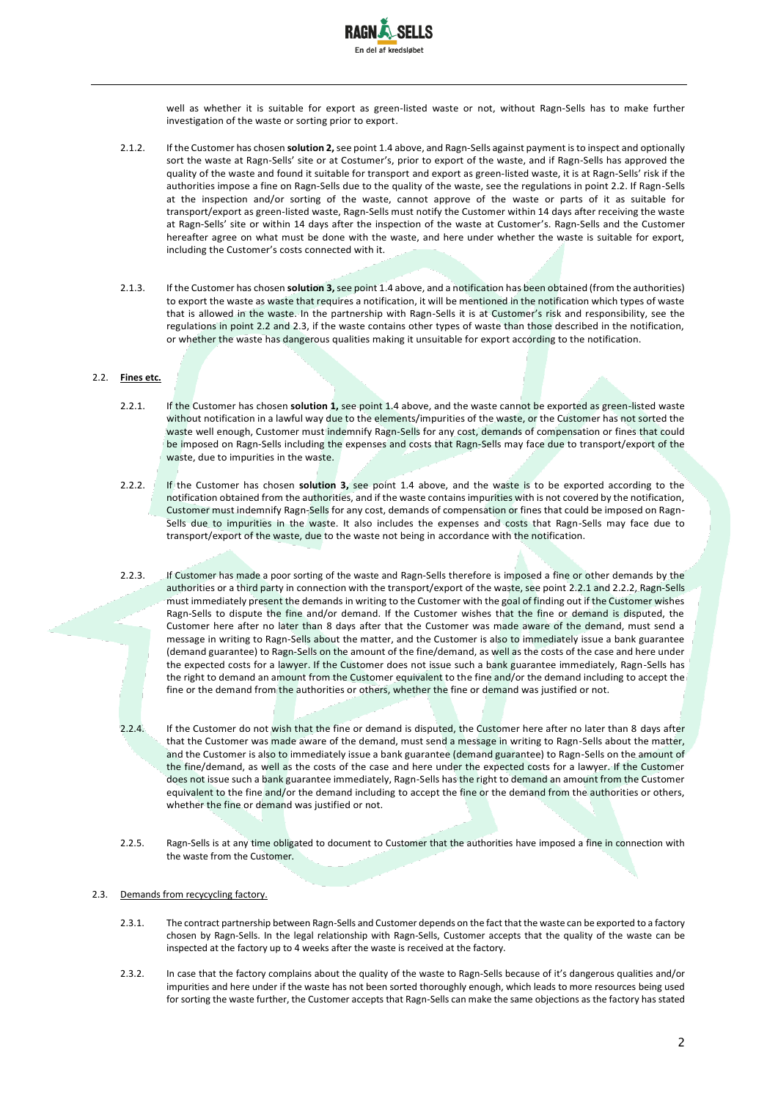

well as whether it is suitable for export as green-listed waste or not, without Ragn-Sells has to make further investigation of the waste or sorting prior to export.

- 2.1.2. If the Customer has chosen **solution 2,** see point 1.4 above, and Ragn-Sells against payment is to inspect and optionally sort the waste at Ragn-Sells' site or at Costumer's, prior to export of the waste, and if Ragn-Sells has approved the quality of the waste and found it suitable for transport and export as green-listed waste, it is at Ragn-Sells' risk if the authorities impose a fine on Ragn-Sells due to the quality of the waste, see the regulations in point 2.2. If Ragn-Sells at the inspection and/or sorting of the waste, cannot approve of the waste or parts of it as suitable for transport/export as green-listed waste, Ragn-Sells must notify the Customer within 14 days after receiving the waste at Ragn-Sells' site or within 14 days after the inspection of the waste at Customer's. Ragn-Sells and the Customer hereafter agree on what must be done with the waste, and here under whether the waste is suitable for export, including the Customer's costs connected with it.
- 2.1.3. If the Customer has chosen **solution 3,** see point 1.4 above, and a notification has been obtained (from the authorities) to export the waste as waste that requires a notification, it will be mentioned in the notification which types of waste that is allowed in the waste. In the partnership with Ragn-Sells it is at Customer's risk and responsibility, see the regulations in point 2.2 and 2.3, if the waste contains other types of waste than those described in the notification, or whether the waste has dangerous qualities making it unsuitable for export according to the notification.

### 2.2. **Fines etc.**

- 2.2.1. If the Customer has chosen **solution 1,** see point 1.4 above, and the waste cannot be exported as green-listed waste without notification in a lawful way due to the elements/impurities of the waste, or the Customer has not sorted the waste well enough, Customer must indemnify Ragn-Sells for any cost, demands of compensation or fines that could be imposed on Ragn-Sells including the expenses and costs that Ragn-Sells may face due to transport/export of the waste, due to impurities in the waste.
- 2.2.2. If the Customer has chosen **solution 3,** see point 1.4 above, and the waste is to be exported according to the notification obtained from the authorities, and if the waste contains impurities with is not covered by the notification, Customer must indemnify Ragn-Sells for any cost, demands of compensation or fines that could be imposed on Ragn-Sells due to impurities in the waste. It also includes the expenses and costs that Ragn-Sells may face due to transport/export of the waste, due to the waste not being in accordance with the notification.
- 2.2.3. If Customer has made a poor sorting of the waste and Ragn-Sells therefore is imposed a fine or other demands by the authorities or a third party in connection with the transport/export of the waste, see point 2.2.1 and 2.2.2, Ragn-Sells must immediately present the demands in writing to the Customer with the goal of finding out if the Customer wishes Ragn-Sells to dispute the fine and/or demand. If the Customer wishes that the fine or demand is disputed, the Customer here after no later than 8 days after that the Customer was made aware of the demand, must send a message in writing to Ragn-Sells about the matter, and the Customer is also to immediately issue a bank guarantee (demand guarantee) to Ragn-Sells on the amount of the fine/demand, as well as the costs of the case and here under the expected costs for a lawyer. If the Customer does not issue such a bank guarantee immediately, Ragn-Sells has the right to demand an amount from the Customer equivalent to the fine and/or the demand including to accept the fine or the demand from the authorities or others, whether the fine or demand was justified or not.
- 2.2.4. If the Customer do not wish that the fine or demand is disputed, the Customer here after no later than 8 days after that the Customer was made aware of the demand, must send a message in writing to Ragn-Sells about the matter, and the Customer is also to immediately issue a bank guarantee (demand guarantee) to Ragn-Sells on the amount of the fine/demand, as well as the costs of the case and here under the expected costs for a lawyer. If the Customer does not issue such a bank guarantee immediately, Ragn-Sells has the right to demand an amount from the Customer equivalent to the fine and/or the demand including to accept the fine or the demand from the authorities or others, whether the fine or demand was justified or not.
- 2.2.5. Ragn-Sells is at any time obligated to document to Customer that the authorities have imposed a fine in connection with the waste from the Customer.

## 2.3. Demands from recycycling factory.

- 2.3.1. The contract partnership between Ragn-Sells and Customer depends on the fact that the waste can be exported to a factory chosen by Ragn-Sells. In the legal relationship with Ragn-Sells, Customer accepts that the quality of the waste can be inspected at the factory up to 4 weeks after the waste is received at the factory.
- 2.3.2. In case that the factory complains about the quality of the waste to Ragn-Sells because of it's dangerous qualities and/or impurities and here under if the waste has not been sorted thoroughly enough, which leads to more resources being used for sorting the waste further, the Customer accepts that Ragn-Sells can make the same objections as the factory has stated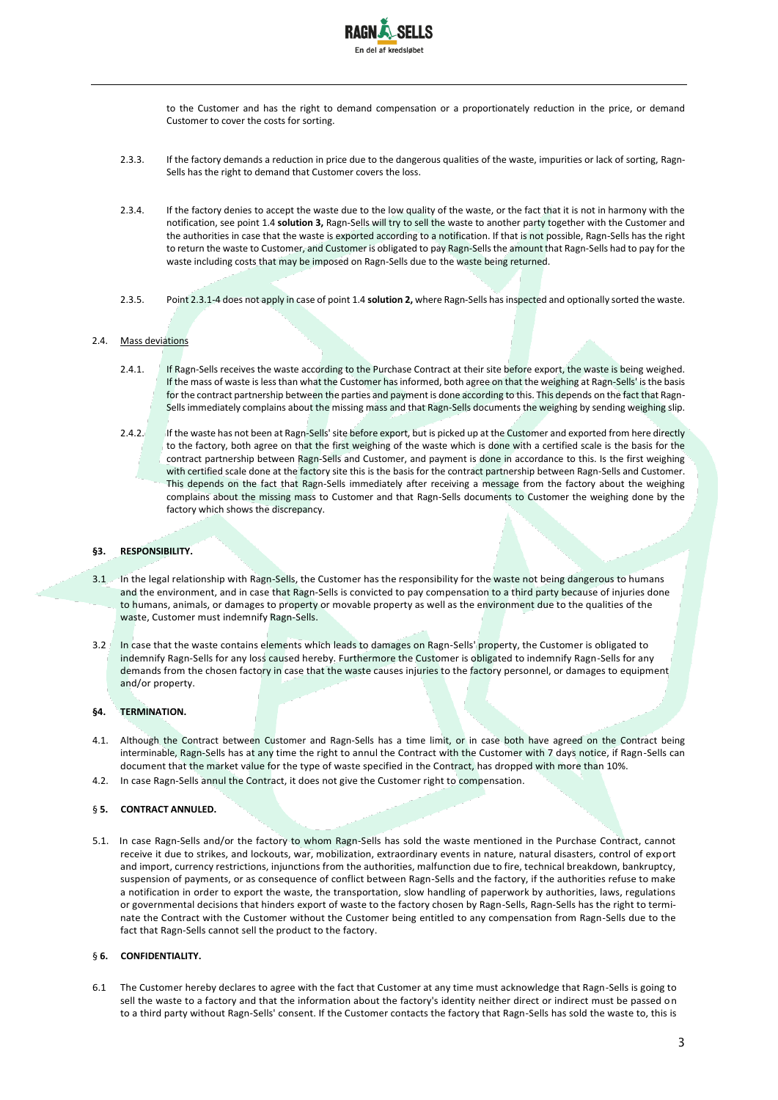

to the Customer and has the right to demand compensation or a proportionately reduction in the price, or demand Customer to cover the costs for sorting.

- 2.3.3. If the factory demands a reduction in price due to the dangerous qualities of the waste, impurities or lack of sorting, Ragn-Sells has the right to demand that Customer covers the loss.
- 2.3.4. If the factory denies to accept the waste due to the low quality of the waste, or the fact that it is not in harmony with the notification, see point 1.4 **solution 3,** Ragn-Sells will try to sell the waste to another party together with the Customer and the authorities in case that the waste is exported according to a notification. If that is not possible, Ragn-Sells has the right to return the waste to Customer, and Customer is obligated to pay Ragn-Sells the amount that Ragn-Sells had to pay for the waste including costs that may be imposed on Ragn-Sells due to the waste being returned.
- 2.3.5. Point 2.3.1-4 does not apply in case of point 1.4 **solution 2,** where Ragn-Sells has inspected and optionally sorted the waste.

#### 2.4. Mass deviations

- 2.4.1. If Ragn-Sells receives the waste according to the Purchase Contract at their site before export, the waste is being weighed. If the mass of waste is less than what the Customer has informed, both agree on that the weighing at Ragn-Sells' is the basis for the contract partnership between the parties and payment is done according to this. This depends on the fact that Ragn-Sells immediately complains about the missing mass and that Ragn-Sells documents the weighing by sending weighing slip.
- 2.4.2. If the waste has not been at Ragn-Sells' site before export, but is picked up at the Customer and exported from here directly to the factory, both agree on that the first weighing of the waste which is done with a certified scale is the basis for the contract partnership between Ragn-Sells and Customer, and payment is done in accordance to this. Is the first weighing with certified scale done at the factory site this is the basis for the contract partnership between Ragn-Sells and Customer. This depends on the fact that Ragn-Sells immediately after receiving a message from the factory about the weighing complains about the missing mass to Customer and that Ragn-Sells documents to Customer the weighing done by the factory which shows the discrepancy.

## **§3. RESPONSIBILITY.**

- 3.1 In the legal relationship with Ragn-Sells, the Customer has the responsibility for the waste not being dangerous to humans and the environment, and in case that Ragn-Sells is convicted to pay compensation to a third party because of injuries done to humans, animals, or damages to property or movable property as well as the environment due to the qualities of the waste, Customer must indemnify Ragn-Sells.
- 3.2 In case that the waste contains elements which leads to damages on Ragn-Sells' property, the Customer is obligated to indemnify Ragn-Sells for any loss caused hereby. Furthermore the Customer is obligated to indemnify Ragn-Sells for any demands from the chosen factory in case that the waste causes injuries to the factory personnel, or damages to equipment and/or property.

### **§4. TERMINATION.**

- 4.1. Although the Contract between Customer and Ragn-Sells has a time limit, or in case both have agreed on the Contract being interminable, Ragn-Sells has at any time the right to annul the Contract with the Customer with 7 days notice, if Ragn-Sells can document that the market value for the type of waste specified in the Contract, has dropped with more than 10%.
- 4.2. In case Ragn-Sells annul the Contract, it does not give the Customer right to compensation.

### § **5. CONTRACT ANNULED.**

5.1. In case Ragn-Sells and/or the factory to whom Ragn-Sells has sold the waste mentioned in the Purchase Contract, cannot receive it due to strikes, and lockouts, war, mobilization, extraordinary events in nature, natural disasters, control of export and import, currency restrictions, injunctions from the authorities, malfunction due to fire, technical breakdown, bankruptcy, suspension of payments, or as consequence of conflict between Ragn-Sells and the factory, if the authorities refuse to make a notification in order to export the waste, the transportation, slow handling of paperwork by authorities, laws, regulations or governmental decisions that hinders export of waste to the factory chosen by Ragn-Sells, Ragn-Sells has the right to terminate the Contract with the Customer without the Customer being entitled to any compensation from Ragn-Sells due to the fact that Ragn-Sells cannot sell the product to the factory.

### § **6. CONFIDENTIALITY.**

6.1 The Customer hereby declares to agree with the fact that Customer at any time must acknowledge that Ragn-Sells is going to sell the waste to a factory and that the information about the factory's identity neither direct or indirect must be passed on to a third party without Ragn-Sells' consent. If the Customer contacts the factory that Ragn-Sells has sold the waste to, this is